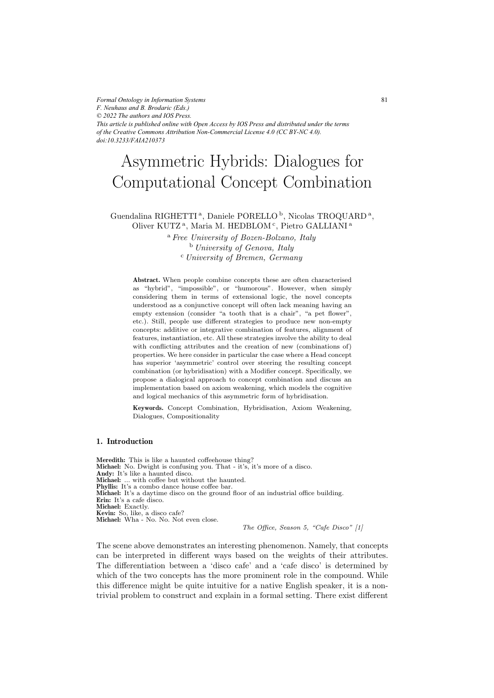*Formal Ontology in Information Systems F. Neuhaus and B. Brodaric (Eds.) © 2022 The authors and IOS Press. This article is published online with Open Access by IOS Press and distributed under the terms of the Creative Commons Attribution Non-Commercial License 4.0 (CC BY-NC 4.0). doi:10.3233/FAIA210373*

# Asymmetric Hybrids: Dialogues for Computational Concept Combination

# Guendalina RIGHETTI<sup>a</sup>, Daniele PORELLO<sup>b</sup>, Nicolas TROQUARD<sup>a</sup>, Oliver KUTZ<sup>a</sup>, Maria M. HEDBLOM<sup>c</sup>, Pietro GALLIANI<sup>a</sup>

<sup>a</sup> *Free University of Bozen-Bolzano, Italy* <sup>b</sup> *University of Genova, Italy* <sup>c</sup> *University of Bremen, Germany*

**Abstract.** When people combine concepts these are often characterised as "hybrid", "impossible", or "humorous". However, when simply considering them in terms of extensional logic, the novel concepts understood as a conjunctive concept will often lack meaning having an empty extension (consider "a tooth that is a chair", "a pet flower", etc.). Still, people use different strategies to produce new non-empty concepts: additive or integrative combination of features, alignment of features, instantiation, etc. All these strategies involve the ability to deal with conflicting attributes and the creation of new (combinations of) properties. We here consider in particular the case where a Head concept has superior 'asymmetric' control over steering the resulting concept combination (or hybridisation) with a Modifier concept. Specifically, we propose a dialogical approach to concept combination and discuss an implementation based on axiom weakening, which models the cognitive and logical mechanics of this asymmetric form of hybridisation.

**Keywords.** Concept Combination, Hybridisation, Axiom Weakening, Dialogues, Compositionality

#### **1. Introduction**

**Meredith:** This is like a haunted coffeehouse thing? **Michael:** No. Dwight is confusing you. That - it's, it's more of a disco. **Andy:** It's like a haunted disco. **Michael:** ... with coffee but without the haunted. **Phyllis:** It's a combo dance house coffee bar. **Michael:** It's a daytime disco on the ground floor of an industrial office building. **Erin:** It's a cafe disco. **Michael:** Exactly. **Kevin:** So, like, a disco cafe? **Michael:** Wha - No. No. Not even close.

The Office, Season 5, "Cafe Disco" [1]

The scene above demonstrates an interesting phenomenon. Namely, that concepts can be interpreted in different ways based on the weights of their attributes. The differentiation between a 'disco cafe' and a 'cafe disco' is determined by which of the two concepts has the more prominent role in the compound. While this difference might be quite intuitive for a native English speaker, it is a nontrivial problem to construct and explain in a formal setting. There exist different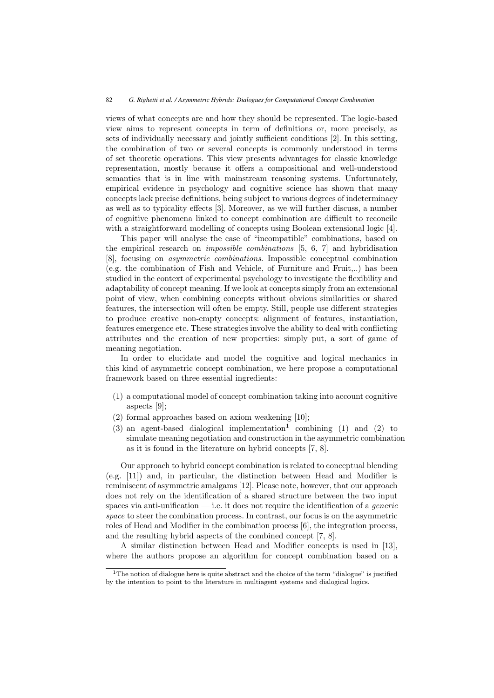views of what concepts are and how they should be represented. The logic-based view aims to represent concepts in term of definitions or, more precisely, as sets of individually necessary and jointly sufficient conditions [2]. In this setting, the combination of two or several concepts is commonly understood in terms of set theoretic operations. This view presents advantages for classic knowledge representation, mostly because it offers a compositional and well-understood semantics that is in line with mainstream reasoning systems. Unfortunately, empirical evidence in psychology and cognitive science has shown that many concepts lack precise definitions, being subject to various degrees of indeterminacy as well as to typicality effects [3]. Moreover, as we will further discuss, a number of cognitive phenomena linked to concept combination are difficult to reconcile with a straightforward modelling of concepts using Boolean extensional logic [4].

This paper will analyse the case of "incompatible" combinations, based on the empirical research on *impossible combinations* [5, 6, 7] and hybridisation [8], focusing on *asymmetric combinations*. Impossible conceptual combination (e.g. the combination of Fish and Vehicle, of Furniture and Fruit,..) has been studied in the context of experimental psychology to investigate the flexibility and adaptability of concept meaning. If we look at concepts simply from an extensional point of view, when combining concepts without obvious similarities or shared features, the intersection will often be empty. Still, people use different strategies to produce creative non-empty concepts: alignment of features, instantiation, features emergence etc. These strategies involve the ability to deal with conflicting attributes and the creation of new properties: simply put, a sort of game of meaning negotiation.

In order to elucidate and model the cognitive and logical mechanics in this kind of asymmetric concept combination, we here propose a computational framework based on three essential ingredients:

- (1) a computational model of concept combination taking into account cognitive aspects [9];
- (2) formal approaches based on axiom weakening [10];
- $(3)$  an agent-based dialogical implementation<sup>1</sup> combining  $(1)$  and  $(2)$  to simulate meaning negotiation and construction in the asymmetric combination as it is found in the literature on hybrid concepts [7, 8].

Our approach to hybrid concept combination is related to conceptual blending (e.g. [11]) and, in particular, the distinction between Head and Modifier is reminiscent of asymmetric amalgams [12]. Please note, however, that our approach does not rely on the identification of a shared structure between the two input spaces via anti-unification — i.e. it does not require the identification of a *generic space* to steer the combination process. In contrast, our focus is on the asymmetric roles of Head and Modifier in the combination process [6], the integration process, and the resulting hybrid aspects of the combined concept [7, 8].

A similar distinction between Head and Modifier concepts is used in [13], where the authors propose an algorithm for concept combination based on a

<sup>&</sup>lt;sup>1</sup>The notion of dialogue here is quite abstract and the choice of the term "dialogue" is justified by the intention to point to the literature in multiagent systems and dialogical logics.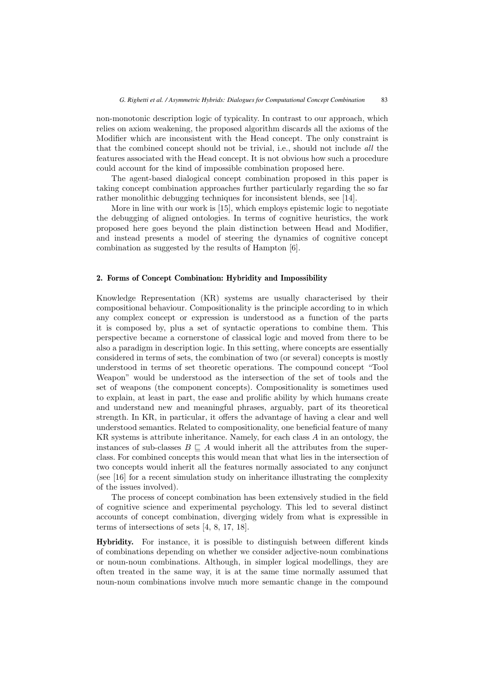non-monotonic description logic of typicality. In contrast to our approach, which relies on axiom weakening, the proposed algorithm discards all the axioms of the Modifier which are inconsistent with the Head concept. The only constraint is that the combined concept should not be trivial, i.e., should not include *all* the features associated with the Head concept. It is not obvious how such a procedure could account for the kind of impossible combination proposed here.

The agent-based dialogical concept combination proposed in this paper is taking concept combination approaches further particularly regarding the so far rather monolithic debugging techniques for inconsistent blends, see [14].

More in line with our work is [15], which employs epistemic logic to negotiate the debugging of aligned ontologies. In terms of cognitive heuristics, the work proposed here goes beyond the plain distinction between Head and Modifier, and instead presents a model of steering the dynamics of cognitive concept combination as suggested by the results of Hampton [6].

#### **2. Forms of Concept Combination: Hybridity and Impossibility**

Knowledge Representation (KR) systems are usually characterised by their compositional behaviour. Compositionality is the principle according to in which any complex concept or expression is understood as a function of the parts it is composed by, plus a set of syntactic operations to combine them. This perspective became a cornerstone of classical logic and moved from there to be also a paradigm in description logic. In this setting, where concepts are essentially considered in terms of sets, the combination of two (or several) concepts is mostly understood in terms of set theoretic operations. The compound concept "Tool Weapon" would be understood as the intersection of the set of tools and the set of weapons (the component concepts). Compositionality is sometimes used to explain, at least in part, the ease and prolific ability by which humans create and understand new and meaningful phrases, arguably, part of its theoretical strength. In KR, in particular, it offers the advantage of having a clear and well understood semantics. Related to compositionality, one beneficial feature of many KR systems is attribute inheritance. Namely, for each class  $A$  in an ontology, the instances of sub-classes  $B \subseteq A$  would inherit all the attributes from the super-<br>class. For combined concents this would mean that what lies in the intersection of class. For combined concepts this would mean that what lies in the intersection of two concepts would inherit all the features normally associated to any conjunct (see [16] for a recent simulation study on inheritance illustrating the complexity of the issues involved).

The process of concept combination has been extensively studied in the field of cognitive science and experimental psychology. This led to several distinct accounts of concept combination, diverging widely from what is expressible in terms of intersections of sets [4, 8, 17, 18].

**Hybridity.** For instance, it is possible to distinguish between different kinds of combinations depending on whether we consider adjective-noun combinations or noun-noun combinations. Although, in simpler logical modellings, they are often treated in the same way, it is at the same time normally assumed that noun-noun combinations involve much more semantic change in the compound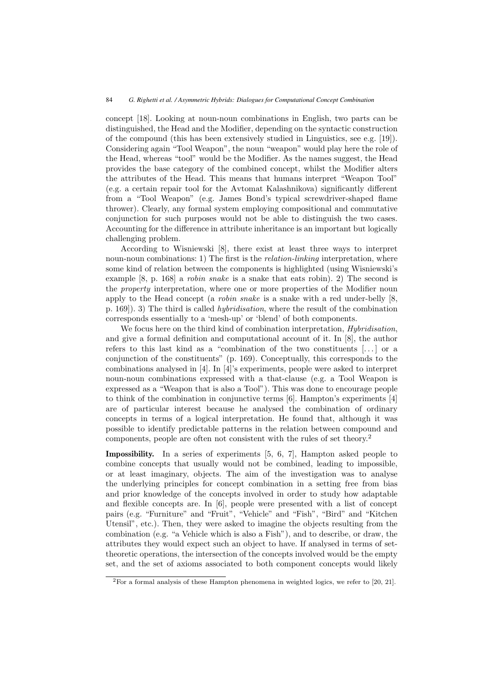concept [18]. Looking at noun-noun combinations in English, two parts can be distinguished, the Head and the Modifier, depending on the syntactic construction of the compound (this has been extensively studied in Linguistics, see e.g. [19]). Considering again "Tool Weapon", the noun "weapon" would play here the role of the Head, whereas "tool" would be the Modifier. As the names suggest, the Head provides the base category of the combined concept, whilst the Modifier alters the attributes of the Head. This means that humans interpret "Weapon Tool" (e.g. a certain repair tool for the Avtomat Kalashnikova) significantly different from a "Tool Weapon" (e.g. James Bond's typical screwdriver-shaped flame thrower). Clearly, any formal system employing compositional and commutative conjunction for such purposes would not be able to distinguish the two cases. Accounting for the difference in attribute inheritance is an important but logically challenging problem.

According to Wisniewski [8], there exist at least three ways to interpret noun-noun combinations: 1) The first is the *relation-linking* interpretation, where some kind of relation between the components is highlighted (using Wisniewski's example [8, p. 168] a *robin snake* is a snake that eats robin). 2) The second is the *property* interpretation, where one or more properties of the Modifier noun apply to the Head concept (a *robin snake* is a snake with a red under-belly [8, p. 169]). 3) The third is called *hybridisation*, where the result of the combination corresponds essentially to a 'mesh-up' or 'blend' of both components.

We focus here on the third kind of combination interpretation, *Hybridisation*, and give a formal definition and computational account of it. In [8], the author refers to this last kind as a "combination of the two constituents [. . . ] or a conjunction of the constituents" (p. 169). Conceptually, this corresponds to the combinations analysed in [4]. In [4]'s experiments, people were asked to interpret noun-noun combinations expressed with a that-clause (e.g. a Tool Weapon is expressed as a "Weapon that is also a Tool"). This was done to encourage people to think of the combination in conjunctive terms [6]. Hampton's experiments [4] are of particular interest because he analysed the combination of ordinary concepts in terms of a logical interpretation. He found that, although it was possible to identify predictable patterns in the relation between compound and components, people are often not consistent with the rules of set theory.<sup>2</sup>

**Impossibility.** In a series of experiments [5, 6, 7], Hampton asked people to combine concepts that usually would not be combined, leading to impossible, or at least imaginary, objects. The aim of the investigation was to analyse the underlying principles for concept combination in a setting free from bias and prior knowledge of the concepts involved in order to study how adaptable and flexible concepts are. In [6], people were presented with a list of concept pairs (e.g. "Furniture" and "Fruit", "Vehicle" and "Fish", "Bird" and "Kitchen Utensil", etc.). Then, they were asked to imagine the objects resulting from the combination (e.g. "a Vehicle which is also a Fish"), and to describe, or draw, the attributes they would expect such an object to have. If analysed in terms of settheoretic operations, the intersection of the concepts involved would be the empty set, and the set of axioms associated to both component concepts would likely

<sup>2</sup>For a formal analysis of these Hampton phenomena in weighted logics, we refer to [20, 21].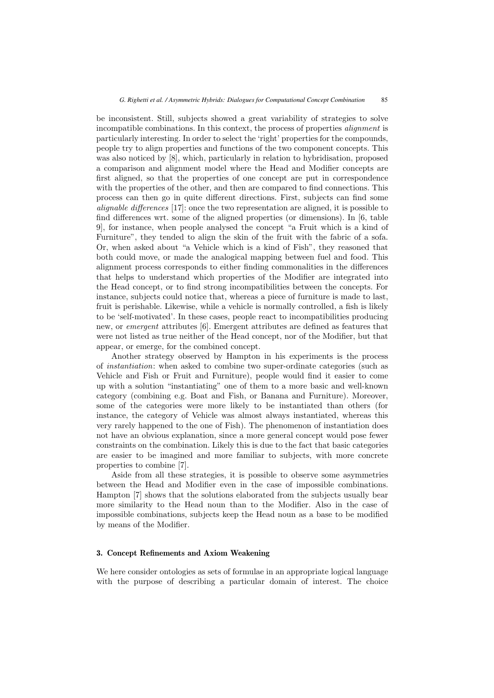be inconsistent. Still, subjects showed a great variability of strategies to solve incompatible combinations. In this context, the process of properties *alignment* is particularly interesting. In order to select the 'right' properties for the compounds, people try to align properties and functions of the two component concepts. This was also noticed by [8], which, particularly in relation to hybridisation, proposed a comparison and alignment model where the Head and Modifier concepts are first aligned, so that the properties of one concept are put in correspondence with the properties of the other, and then are compared to find connections. This process can then go in quite different directions. First, subjects can find some *alignable differences* [17]: once the two representation are aligned, it is possible to find differences wrt. some of the aligned properties (or dimensions). In [6, table 9], for instance, when people analysed the concept "a Fruit which is a kind of Furniture", they tended to align the skin of the fruit with the fabric of a sofa. Or, when asked about "a Vehicle which is a kind of Fish", they reasoned that both could move, or made the analogical mapping between fuel and food. This alignment process corresponds to either finding commonalities in the differences that helps to understand which properties of the Modifier are integrated into the Head concept, or to find strong incompatibilities between the concepts. For instance, subjects could notice that, whereas a piece of furniture is made to last, fruit is perishable. Likewise, while a vehicle is normally controlled, a fish is likely to be 'self-motivated'. In these cases, people react to incompatibilities producing new, or *emergent* attributes [6]. Emergent attributes are defined as features that were not listed as true neither of the Head concept, nor of the Modifier, but that appear, or emerge, for the combined concept.

Another strategy observed by Hampton in his experiments is the process of *instantiation*: when asked to combine two super-ordinate categories (such as Vehicle and Fish or Fruit and Furniture), people would find it easier to come up with a solution "instantiating" one of them to a more basic and well-known category (combining e.g. Boat and Fish, or Banana and Furniture). Moreover, some of the categories were more likely to be instantiated than others (for instance, the category of Vehicle was almost always instantiated, whereas this very rarely happened to the one of Fish). The phenomenon of instantiation does not have an obvious explanation, since a more general concept would pose fewer constraints on the combination. Likely this is due to the fact that basic categories are easier to be imagined and more familiar to subjects, with more concrete properties to combine [7].

Aside from all these strategies, it is possible to observe some asymmetries between the Head and Modifier even in the case of impossible combinations. Hampton [7] shows that the solutions elaborated from the subjects usually bear more similarity to the Head noun than to the Modifier. Also in the case of impossible combinations, subjects keep the Head noun as a base to be modified by means of the Modifier.

#### **3. Concept Refinements and Axiom Weakening**

We here consider ontologies as sets of formulae in an appropriate logical language with the purpose of describing a particular domain of interest. The choice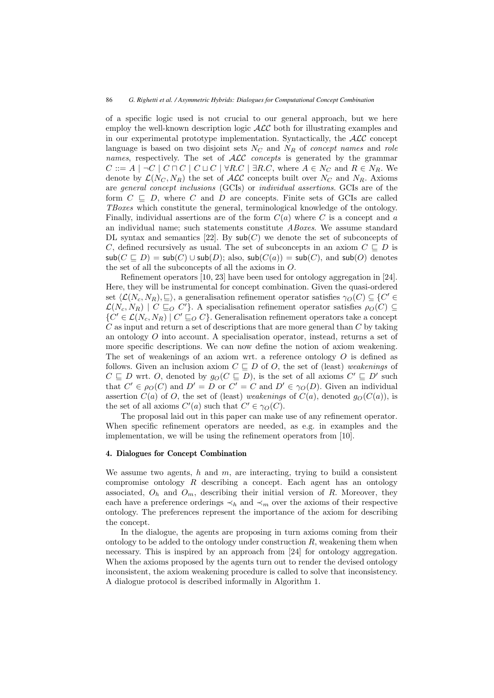of a specific logic used is not crucial to our general approach, but we here employ the well-known description logic ALC both for illustrating examples and in our experimental prototype implementation. Syntactically, the  $\mathcal{ALC}$  concept language is based on two disjoint sets  $N_c$  and  $N_R$  of *concept names* and *role names*, respectively. The set of ALC *concepts* is generated by the grammar  $C ::= A \mid \neg C \mid C \sqcap C \mid C \sqcup C \mid \forall R.C \mid \exists R.C, \text{ where } A \in N_C \text{ and } R \in N_R.$  We denote by  $\mathcal{L}(N_C, N_R)$  the set of  $\mathcal{ALC}$  concepts built over  $N_C$  and  $N_R$ . Axioms are *general concept inclusions* (GCIs) or *individual assertions*. GCIs are of the form  $C \subseteq D$ , where C and D are concepts. Finite sets of GCIs are called TBores which constitute the general terminological knowledge of the ontology *TBoxes* which constitute the general, terminological knowledge of the ontology. Finally, individual assertions are of the form  $C(a)$  where C is a concept and a an individual name; such statements constitute *ABoxes*. We assume standard DL syntax and semantics [22]. By  $\mathsf{sub}(C)$  we denote the set of subconcepts of C, defined recursively as usual. The set of subconcepts in an axiom  $C \subseteq D$  is  $\mathsf{sub}(C \sqcap D) = \mathsf{sub}(C) \sqcup \mathsf{sub}(D)$ ; also  $\mathsf{sub}(C(a)) = \mathsf{sub}(C)$  and  $\mathsf{sub}(O)$  denotes  $\mathsf{sub}(C \sqsubseteq D) = \mathsf{sub}(C) \cup \mathsf{sub}(D)$ ; also,  $\mathsf{sub}(C(a)) = \mathsf{sub}(C)$ , and  $\mathsf{sub}(O)$  denotes the set of all the subconcents of all the axioms in O the set of all the subconcepts of all the axioms in O.

Refinement operators [10, 23] have been used for ontology aggregation in [24]. Here, they will be instrumental for concept combination. Given the quasi-ordered set  $\langle \mathcal{L}(N_c, N_R), \sqsubseteq \rangle$ , a generalisation refinement operator satisfies  $\gamma_O(C) \subseteq \{C' \in \mathcal{L}(N_c, N_R) \mid C \sqsubseteq_C C' \}$ . A specialisation refinement operator satisfies  $g_O(C) \subseteq$  $\mathcal{L}(N_c, N_R) \mid C \sqsubseteq_O C'$ . A specialisation refinement operator satisfies  $\rho_O(C) \subseteq$ <br> $\{C' \in \mathcal{L}(N, N_P) \mid C' \sqsubseteq_O C\}$  Generalisation refinement operators take a concept  $\{C' \in \mathcal{L}(N_c, N_R) \mid C' \sqsubseteq_O C\}$ . Generalisation refinement operators take a concept  $C$  as input and return a set of descriptions that are more general than  $C$  by taking  $C$  as input and return a set of descriptions that are more general than  $C$  by taking an ontology O into account. A specialisation operator, instead, returns a set of more specific descriptions. We can now define the notion of axiom weakening. The set of weakenings of an axiom wrt. a reference ontology  $O$  is defined as follows. Given an inclusion axiom  $C \subseteq D$  of O, the set of (least) *weakenings* of  $C \subseteq D$  with  $O$  denoted by  $g_O(C \subseteq D)$  is the set of all axioms  $C' \subseteq D'$  such C 느<br>that  $\subseteq D$  wrt. O, denoted by  $g_O(C \sqsubseteq D)$ , is the set of all axioms  $C' \sqsubseteq D'$  such  $C' \in g_O(C)$  and  $D' = D$  or  $C' = C$  and  $D' \in g_O(D)$ . Given an individual that  $C' \in \rho_O(C)$  and  $D' = D$  or  $C' = C$  and  $D' \in \gamma_O(D)$ . Given an individual assertion  $C(a)$  of O the set of (least) weakenings of  $C(a)$  denoted  $g_O(C(a))$  is assertion  $C(a)$  of O, the set of (least) *weakenings* of  $C(a)$ , denoted  $g_O(C(a))$ , is the set of all axioms  $C'(a)$  such that  $C' \in \gamma_O(C)$ .<br>The proposal laid out in this paper can make

The proposal laid out in this paper can make use of any refinement operator. When specific refinement operators are needed, as e.g. in examples and the implementation, we will be using the refinement operators from [10].

## **4. Dialogues for Concept Combination**

We assume two agents,  $h$  and  $m$ , are interacting, trying to build a consistent compromise ontology  $R$  describing a concept. Each agent has an ontology associated,  $O_h$  and  $O_m$ , describing their initial version of R. Moreover, they each have a preference orderings  $\prec_h$  and  $\prec_m$  over the axioms of their respective ontology. The preferences represent the importance of the axiom for describing the concept.

In the dialogue, the agents are proposing in turn axioms coming from their ontology to be added to the ontology under construction  $R$ , weakening them when necessary. This is inspired by an approach from [24] for ontology aggregation. When the axioms proposed by the agents turn out to render the devised ontology inconsistent, the axiom weakening procedure is called to solve that inconsistency. A dialogue protocol is described informally in Algorithm 1.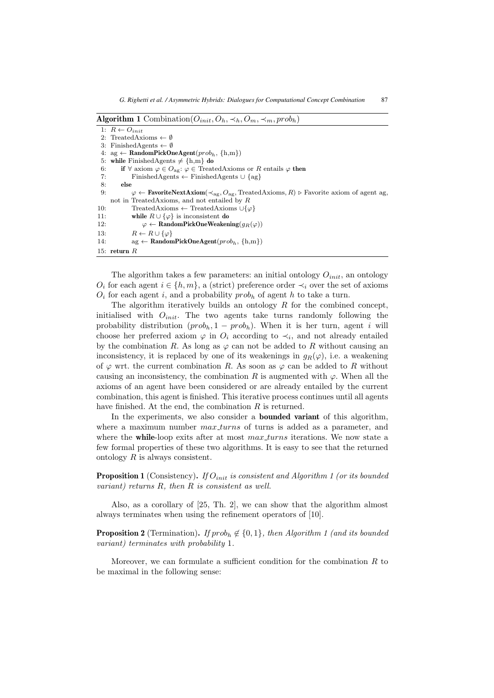```
Algorithm 1 Combination(O_{init}, O_h, \prec_h, O_m, \prec_m, prob_h)
```

```
1: R \leftarrow O_{init}2: TreatedAxioms \leftarrow \emptyset3: FinishedAgents \leftarrow \emptyset4: ag \leftarrow \text{RandomPickOneAgent}(prob_h, \{h, m\})5: while \text{FinishedAgents} \neq \{h,m\} do
 6: if \forall axiom \varphi \in O_{\text{ag}}: \varphi \in \text{TreatedAxi} or R entails \varphi then<br>7: FinishedAgents \leftarrow FinishedAgents \cup {ag}
                   7: FinishedAgents ← FinishedAgents ∪ {ag}
 8: else
 9: \varphi \leftarrow \textbf{FavoriteNextAxiom}(\prec_{\text{ag}}, O_{\text{ag}}, \text{TreatedAxioms}, R) \triangleright \text{Favorite axiom of agent ag},not in TreatedAxioms, and not entailed by R
10: TreatedAxioms ← TreatedAxioms ∪{\varphi}<br>11: while R \cup {\lbrace \varphi \rbrace} is inconsistent do
11: while R \cup {\varphi} is inconsistent do<br>12: \varphi \leftarrow \textbf{RandomPickOneWeather}12: \varphi \leftarrow \textbf{RandomPickOneWeakening}(g_R(\varphi))<br>13: R \leftarrow R \cup {\varphi}13: R \leftarrow R \cup \{\varphi\}<br>14: \qquad \qquad \text{ag} \leftarrow \text{Random}\text{arg} \leftarrow \text{RandomPickOneAgent}(prob_h, \{h, m\})15: return R
```
The algorithm takes a few parameters: an initial ontology  $O_{init}$ , an ontology  $O_i$  for each agent  $i \in \{h, m\}$ , a (strict) preference order  $\prec_i$  over the set of axioms  $O_i$  for each agent i, and a probability prob<sub>h</sub> of agent h to take a turn.

The algorithm iteratively builds an ontology  $R$  for the combined concept, initialised with  $O_{init}$ . The two agents take turns randomly following the probability distribution  $(prob_h, 1 - prob_h)$ . When it is her turn, agent *i* will choose her preferred axiom  $\varphi$  in  $O_i$  according to  $\prec_i$ , and not already entailed by the combination R. As long as  $\varphi$  can not be added to R without causing an inconsistency, it is replaced by one of its weakenings in  $q_B(\varphi)$ , i.e. a weakening of  $\varphi$  wrt. the current combination R. As soon as  $\varphi$  can be added to R without causing an inconsistency, the combination R is augmented with  $\varphi$ . When all the axioms of an agent have been considered or are already entailed by the current combination, this agent is finished. This iterative process continues until all agents have finished. At the end, the combination  $R$  is returned.

In the experiments, we also consider a **bounded variant** of this algorithm, where a maximum number *max\_turns* of turns is added as a parameter, and where the **while**-loop exits after at most max turns iterations. We now state a few formal properties of these two algorithms. It is easy to see that the returned ontology R is always consistent.

**Proposition 1** (Consistency). If  $O_{init}$  is consistent and Algorithm 1 (or its bounded *variant) returns* R*, then* R *is consistent as well.*

Also, as a corollary of [25, Th. 2], we can show that the algorithm almost always terminates when using the refinement operators of [10].

**Proposition 2** (Termination). *If*  $prob_b \notin \{0, 1\}$ , then Algorithm 1 (and its bounded *variant) terminates with probability* 1*.*

Moreover, we can formulate a sufficient condition for the combination  $R$  to be maximal in the following sense: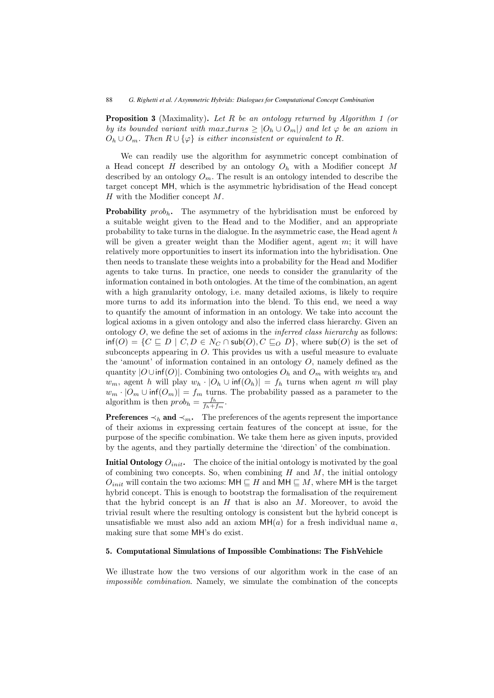**Proposition 3** (Maximality)**.** *Let* R *be an ontology returned by Algorithm 1 (or by its bounded variant with max\_turns*  $\geq |O_h \cup O_m|$  *and let*  $\varphi$  *be an axiom in*  $O_h \cup O_m$ . Then  $R \cup \{\varphi\}$  is either inconsistent or equivalent to R.

We can readily use the algorithm for asymmetric concept combination of a Head concept H described by an ontology  $O_h$  with a Modifier concept M described by an ontology  $O_m$ . The result is an ontology intended to describe the target concept MH, which is the asymmetric hybridisation of the Head concept  $H$  with the Modifier concept  $M$ .

**Probability**  $prob_h$ . The asymmetry of the hybridisation must be enforced by a suitable weight given to the Head and to the Modifier, and an appropriate probability to take turns in the dialogue. In the asymmetric case, the Head agent  $h$ will be given a greater weight than the Modifier agent, agent  $m$ ; it will have relatively more opportunities to insert its information into the hybridisation. One then needs to translate these weights into a probability for the Head and Modifier agents to take turns. In practice, one needs to consider the granularity of the information contained in both ontologies. At the time of the combination, an agent with a high granularity ontology, i.e. many detailed axioms, is likely to require more turns to add its information into the blend. To this end, we need a way to quantify the amount of information in an ontology. We take into account the logical axioms in a given ontology and also the inferred class hierarchy. Given an ontology O, we define the set of axioms in the *inferred class hierarchy* as follows:  $\inf(O) = \{C \sqsubseteq D \mid C, D \in N_C \cap \text{sub}(O), C \sqsubseteq_O D\}$ , where  $\text{sub}(O)$  is the set of subconcents appearing in O. This provides us with a useful measure to evaluate subconcepts appearing in O. This provides us with a useful measure to evaluate the 'amount' of information contained in an ontology  $O$ , namely defined as the quantity  $|O \cup \inf(O)|$ . Combining two ontologies  $O_h$  and  $O_m$  with weights  $w_h$  and  $w_m$ , agent h will play  $w_h \cdot |O_h \cup \inf(O_h)| = f_h$  turns when agent m will play  $w_m \cdot |O_m \cup \inf(O_m)| = f_m$  turns. The probability passed as a parameter to the algorithm is then  $prob_h = \frac{f_h}{f_h + f_m}$ .

**Preferences**  $\prec_h$  **and**  $\prec_m$ . The preferences of the agents represent the importance of their axioms in expressing certain features of the concept at issue, for the purpose of the specific combination. We take them here as given inputs, provided by the agents, and they partially determine the 'direction' of the combination.

**Initial Ontology**  $O_{init}$ . The choice of the initial ontology is motivated by the goal of combining two concepts. So, when combining  $H$  and  $M$ , the initial ontology  $O_{init}$  will contain the two axioms:  $\mathsf{MH} \sqsubseteq H$  and  $\mathsf{MH} \sqsubseteq M$ , where  $\mathsf{MH}$  is the target by hybrid concept. This is enough to bootstrap the formalisation of the requirement hybrid concept. This is enough to bootstrap the formalisation of the requirement that the hybrid concept is an  $H$  that is also an  $M$ . Moreover, to avoid the trivial result where the resulting ontology is consistent but the hybrid concept is unsatisfiable we must also add an axiom  $MH(a)$  for a fresh individual name a, making sure that some MH's do exist.

# **5. Computational Simulations of Impossible Combinations: The FishVehicle**

We illustrate how the two versions of our algorithm work in the case of an *impossible combination*. Namely, we simulate the combination of the concepts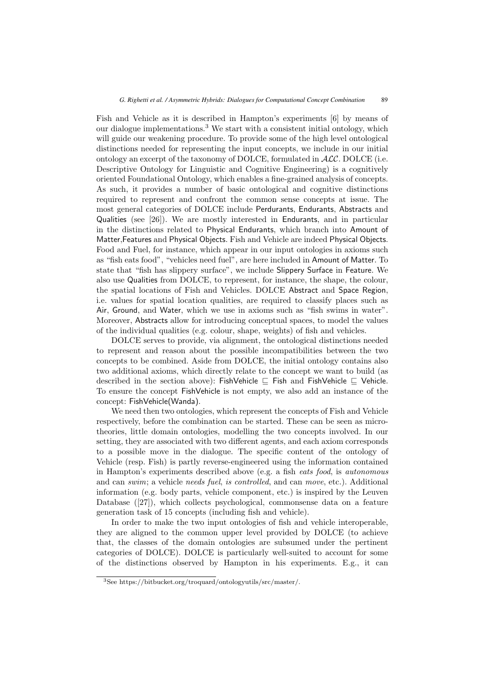Fish and Vehicle as it is described in Hampton's experiments [6] by means of our dialogue implementations.<sup>3</sup> We start with a consistent initial ontology, which will guide our weakening procedure. To provide some of the high level ontological distinctions needed for representing the input concepts, we include in our initial ontology an excerpt of the taxonomy of DOLCE, formulated in  $\mathcal{ALC}$ . DOLCE (i.e. Descriptive Ontology for Linguistic and Cognitive Engineering) is a cognitively oriented Foundational Ontology, which enables a fine-grained analysis of concepts. As such, it provides a number of basic ontological and cognitive distinctions required to represent and confront the common sense concepts at issue. The most general categories of DOLCE include Perdurants, Endurants, Abstracts and Qualities (see [26]). We are mostly interested in Endurants, and in particular in the distinctions related to Physical Endurants, which branch into Amount of Matter,Features and Physical Objects. Fish and Vehicle are indeed Physical Objects. Food and Fuel, for instance, which appear in our input ontologies in axioms such as "fish eats food", "vehicles need fuel", are here included in Amount of Matter. To state that "fish has slippery surface", we include Slippery Surface in Feature. We also use Qualities from DOLCE, to represent, for instance, the shape, the colour, the spatial locations of Fish and Vehicles. DOLCE Abstract and Space Region, i.e. values for spatial location qualities, are required to classify places such as Air, Ground, and Water, which we use in axioms such as "fish swims in water". Moreover, Abstracts allow for introducing conceptual spaces, to model the values of the individual qualities (e.g. colour, shape, weights) of fish and vehicles.

DOLCE serves to provide, via alignment, the ontological distinctions needed to represent and reason about the possible incompatibilities between the two concepts to be combined. Aside from DOLCE, the initial ontology contains also two additional axioms, which directly relate to the concept we want to build (as described in the section above): FishVehicle  $\sqsubseteq$  Fish and FishVehicle  $\sqsubseteq$  Vehicle. To ensure the concept FishVehicle is not empty, we also add an instance of the concept: FishVehicle(Wanda).

We need then two ontologies, which represent the concepts of Fish and Vehicle respectively, before the combination can be started. These can be seen as microtheories, little domain ontologies, modelling the two concepts involved. In our setting, they are associated with two different agents, and each axiom corresponds to a possible move in the dialogue. The specific content of the ontology of Vehicle (resp. Fish) is partly reverse-engineered using the information contained in Hampton's experiments described above (e.g. a fish *eats food*, is *autonomous* and can *swim*; a vehicle *needs fuel*, *is controlled*, and can *move*, etc.). Additional information (e.g. body parts, vehicle component, etc.) is inspired by the Leuven Database ([27]), which collects psychological, commonsense data on a feature generation task of 15 concepts (including fish and vehicle).

In order to make the two input ontologies of fish and vehicle interoperable, they are aligned to the common upper level provided by DOLCE (to achieve that, the classes of the domain ontologies are subsumed under the pertinent categories of DOLCE). DOLCE is particularly well-suited to account for some of the distinctions observed by Hampton in his experiments. E.g., it can

<sup>3</sup>See https://bitbucket.org/troquard/ontologyutils/src/master/.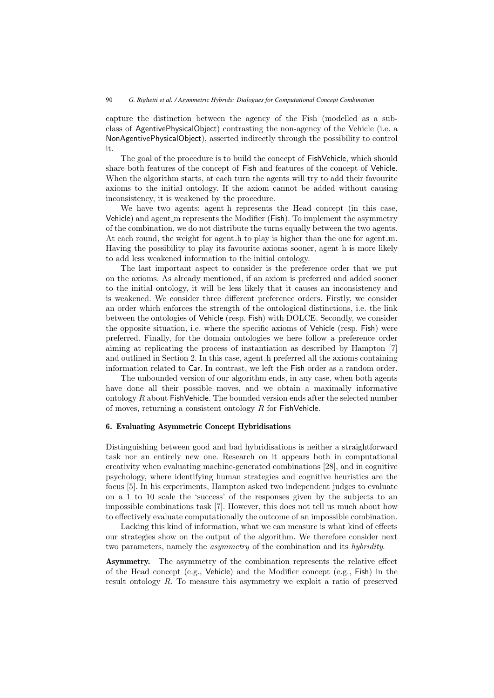capture the distinction between the agency of the Fish (modelled as a subclass of AgentivePhysicalObject) contrasting the non-agency of the Vehicle (i.e. a NonAgentivePhysicalObject), asserted indirectly through the possibility to control it.

The goal of the procedure is to build the concept of FishVehicle, which should share both features of the concept of Fish and features of the concept of Vehicle. When the algorithm starts, at each turn the agents will try to add their favourite axioms to the initial ontology. If the axiom cannot be added without causing inconsistency, it is weakened by the procedure.

We have two agents: agent h represents the Head concept (in this case, Vehicle) and agent m represents the Modifier (Fish). To implement the asymmetry of the combination, we do not distribute the turns equally between the two agents. At each round, the weight for agent h to play is higher than the one for agent m. Having the possibility to play its favourite axioms sooner, agent h is more likely to add less weakened information to the initial ontology.

The last important aspect to consider is the preference order that we put on the axioms. As already mentioned, if an axiom is preferred and added sooner to the initial ontology, it will be less likely that it causes an inconsistency and is weakened. We consider three different preference orders. Firstly, we consider an order which enforces the strength of the ontological distinctions, i.e. the link between the ontologies of Vehicle (resp. Fish) with DOLCE. Secondly, we consider the opposite situation, i.e. where the specific axioms of Vehicle (resp. Fish) were preferred. Finally, for the domain ontologies we here follow a preference order aiming at replicating the process of instantiation as described by Hampton [7] and outlined in Section 2. In this case, agent h preferred all the axioms containing information related to Car. In contrast, we left the Fish order as a random order.

The unbounded version of our algorithm ends, in any case, when both agents have done all their possible moves, and we obtain a maximally informative ontology  $R$  about FishVehicle. The bounded version ends after the selected number of moves, returning a consistent ontology  $R$  for FishVehicle.

## **6. Evaluating Asymmetric Concept Hybridisations**

Distinguishing between good and bad hybridisations is neither a straightforward task nor an entirely new one. Research on it appears both in computational creativity when evaluating machine-generated combinations [28], and in cognitive psychology, where identifying human strategies and cognitive heuristics are the focus [5]. In his experiments, Hampton asked two independent judges to evaluate on a 1 to 10 scale the 'success' of the responses given by the subjects to an impossible combinations task [7]. However, this does not tell us much about how to effectively evaluate computationally the outcome of an impossible combination.

Lacking this kind of information, what we can measure is what kind of effects our strategies show on the output of the algorithm. We therefore consider next two parameters, namely the *asymmetry* of the combination and its *hybridity*.

**Asymmetry.** The asymmetry of the combination represents the relative effect of the Head concept (e.g., Vehicle) and the Modifier concept (e.g., Fish) in the result ontology R. To measure this asymmetry we exploit a ratio of preserved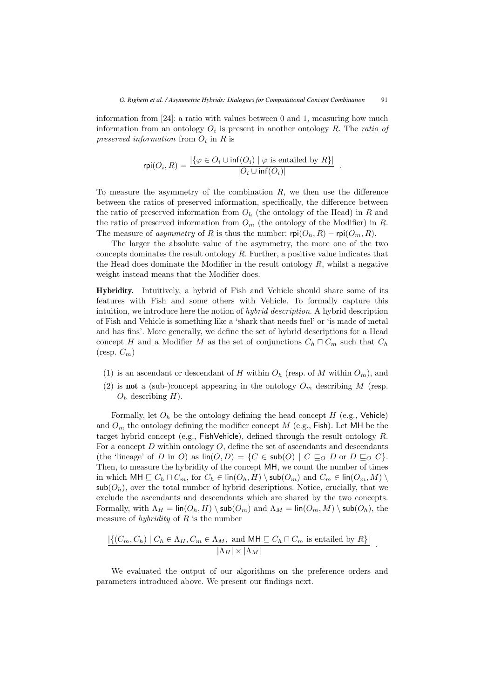information from [24]: a ratio with values between 0 and 1, measuring how much information from an ontology  $O_i$  is present in another ontology  $R$ . The *ratio of preserved information* from  $O_i$  in R is

$$
rpi(O_i, R) = \frac{|\{\varphi \in O_i \cup inf(O_i) \mid \varphi \text{ is entailed by } R\}|}{|O_i \cup inf(O_i)|}.
$$

To measure the asymmetry of the combination  $R$ , we then use the difference between the ratios of preserved information, specifically, the difference between the ratio of preserved information from  $O<sub>h</sub>$  (the ontology of the Head) in R and the ratio of preserved information from  $O_m$  (the ontology of the Modifier) in R. The measure of *asymmetry* of R is thus the number:  $\text{rpi}(O_h, R) - \text{rpi}(O_m, R)$ .

The larger the absolute value of the asymmetry, the more one of the two concepts dominates the result ontology  $R$ . Further, a positive value indicates that the Head does dominate the Modifier in the result ontology  $R$ , whilst a negative weight instead means that the Modifier does.

**Hybridity.** Intuitively, a hybrid of Fish and Vehicle should share some of its features with Fish and some others with Vehicle. To formally capture this intuition, we introduce here the notion of *hybrid description*. A hybrid description of Fish and Vehicle is something like a 'shark that needs fuel' or 'is made of metal and has fins'. More generally, we define the set of hybrid descriptions for a Head concept H and a Modifier M as the set of conjunctions  $C_h \sqcap C_m$  such that  $C_h$  $(\text{resp. } C_m)$ 

- (1) is an ascendant or descendant of H within  $O_h$  (resp. of M within  $O_m$ ), and
- (2) is **not** a (sub-)concept appearing in the ontology  $O_m$  describing M (resp.  $O_h$  describing H).

Formally, let  $O_h$  be the ontology defining the head concept H (e.g., Vehicle) and  $O_m$  the ontology defining the modifier concept M (e.g., Fish). Let MH be the target hybrid concept (e.g., FishVehicle), defined through the result ontology  $R$ . For a concept  $D$  within ontology  $O$ , define the set of ascendants and descendants (the 'lineage' of D in O) as  $\text{lin}(O, D) = \{C \in \text{sub}(O) \mid C \sqsubseteq_O D \text{ or } D \sqsubseteq_O C\}.$ <br>Then to measure the hybridity of the concept MH we count the number of times Then, to measure the hybridity of the concept MH, we count the number of times in which  $MH \sqsubseteq C_h \sqcap C_m$ , for  $C_h \in \text{lin}(O_h, H) \setminus \text{sub}(O_m)$  and  $C_m \in \text{lin}(O_m, M) \setminus \text{sub}(O_1)$  over the total number of bybrid descriptions. Notice, crucially, that we  $\mathsf{sub}(O_h)$ , over the total number of hybrid descriptions. Notice, crucially, that we exclude the ascendants and descendants which are shared by the two concepts. Formally, with  $\Lambda_H = \text{lin}(O_h, H) \setminus \text{sub}(O_m)$  and  $\Lambda_M = \text{lin}(O_m, M) \setminus \text{sub}(O_h)$ , the measure of *hybridity* of R is the number

$$
\frac{|\{(C_m, C_h) \mid C_h \in \Lambda_H, C_m \in \Lambda_M, \text{ and MH} \sqsubseteq C_h \sqcap C_m \text{ is entailed by } R\}|}{|\Lambda_H| \times |\Lambda_M|}.
$$

We evaluated the output of our algorithms on the preference orders and parameters introduced above. We present our findings next.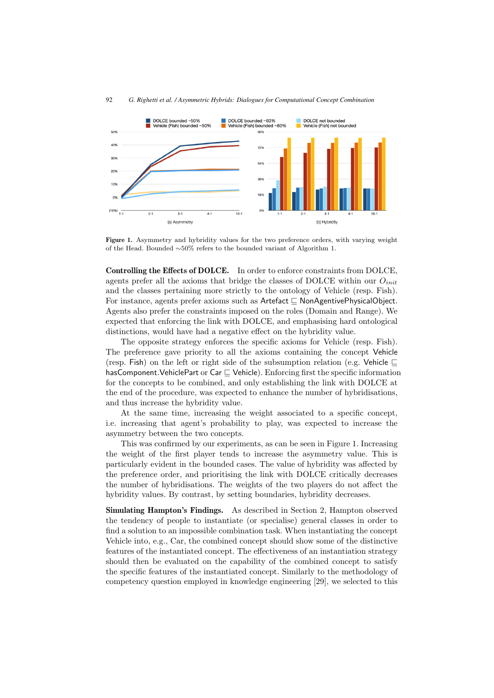

**Figure 1.** Asymmetry and hybridity values for the two preference orders, with varying weight of the Head. Bounded ∼50% refers to the bounded variant of Algorithm 1.

**Controlling the Effects of DOLCE.** In order to enforce constraints from DOLCE, agents prefer all the axioms that bridge the classes of DOLCE within our  $O_{init}$ and the classes pertaining more strictly to the ontology of Vehicle (resp. Fish). For instance, agents prefer axioms such as  $\mathsf{Artefact} \sqsubseteq \mathsf{NonAgentivePhysicalObject}.$ Agents also prefer the constraints imposed on the roles (Domain and Range). We expected that enforcing the link with DOLCE, and emphasising hard ontological distinctions, would have had a negative effect on the hybridity value.

The opposite strategy enforces the specific axioms for Vehicle (resp. Fish). The preference gave priority to all the axioms containing the concept Vehicle (resp. Fish) on the left or right side of the subsumption relation (e.g. Vehicle  $\sqsubseteq$ hasComponent.VehiclePart or  $\mathsf{Car} \sqsubseteq$  Vehicle). Enforcing first the specific information<br>for the concents to be combined, and only establishing the link with DOLCE at for the concepts to be combined, and only establishing the link with DOLCE at the end of the procedure, was expected to enhance the number of hybridisations, and thus increase the hybridity value.

At the same time, increasing the weight associated to a specific concept, i.e. increasing that agent's probability to play, was expected to increase the asymmetry between the two concepts.

This was confirmed by our experiments, as can be seen in Figure 1. Increasing the weight of the first player tends to increase the asymmetry value. This is particularly evident in the bounded cases. The value of hybridity was affected by the preference order, and prioritising the link with DOLCE critically decreases the number of hybridisations. The weights of the two players do not affect the hybridity values. By contrast, by setting boundaries, hybridity decreases.

**Simulating Hampton's Findings.** As described in Section 2, Hampton observed the tendency of people to instantiate (or specialise) general classes in order to find a solution to an impossible combination task. When instantiating the concept Vehicle into, e.g., Car, the combined concept should show some of the distinctive features of the instantiated concept. The effectiveness of an instantiation strategy should then be evaluated on the capability of the combined concept to satisfy the specific features of the instantiated concept. Similarly to the methodology of competency question employed in knowledge engineering [29], we selected to this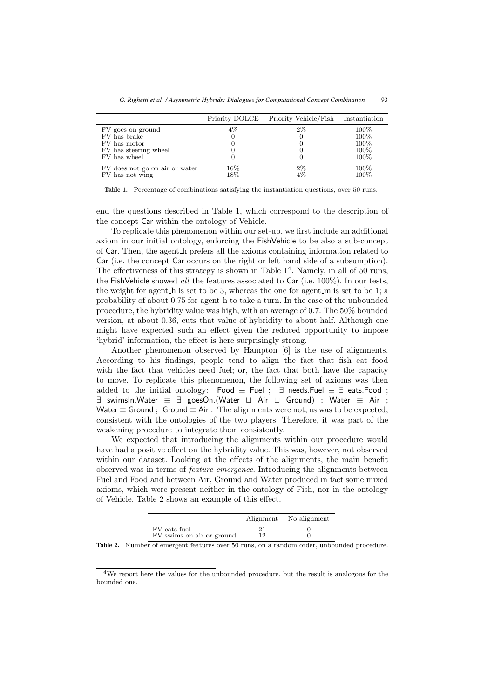|                                                   |               | Priority DOLCE Priority Vehicle/Fish | Instantiation |
|---------------------------------------------------|---------------|--------------------------------------|---------------|
| FV goes on ground                                 | $4\%$         | $2\%$                                | $100\%$       |
| FV has brake                                      |               | 0                                    | 100%          |
| FV has motor                                      |               |                                      | 100%          |
| FV has steering wheel                             |               |                                      | 100%          |
| FV has wheel                                      |               |                                      | 100%          |
| FV does not go on air or water<br>FV has not wing | $16\%$<br>18% | $2\%$<br>$4\%$                       | 100%<br>100%  |

**Table 1.** Percentage of combinations satisfying the instantiation questions, over 50 runs.

end the questions described in Table 1, which correspond to the description of the concept Car within the ontology of Vehicle.

To replicate this phenomenon within our set-up, we first include an additional axiom in our initial ontology, enforcing the FishVehicle to be also a sub-concept of Car. Then, the agent h prefers all the axioms containing information related to Car (i.e. the concept Car occurs on the right or left hand side of a subsumption). The effectiveness of this strategy is shown in Table  $1<sup>4</sup>$ . Namely, in all of 50 runs, the FishVehicle showed *all* the features associated to Car (i.e. 100%). In our tests, the weight for agent  $h$  is set to be 3, whereas the one for agent  $m$  is set to be 1; a probability of about 0.75 for agent h to take a turn. In the case of the unbounded procedure, the hybridity value was high, with an average of 0.7. The 50% bounded version, at about 0.36, cuts that value of hybridity to about half. Although one might have expected such an effect given the reduced opportunity to impose 'hybrid' information, the effect is here surprisingly strong.

Another phenomenon observed by Hampton [6] is the use of alignments. According to his findings, people tend to align the fact that fish eat food with the fact that vehicles need fuel; or, the fact that both have the capacity to move. To replicate this phenomenon, the following set of axioms was then added to the initial ontology: Food  $\equiv$  Fuel ;  $\exists$  needs. Fuel  $\equiv \exists$  eats. Food ; ∃ swimsIn.Water ≡ ∃ goesOn.(Water Air Ground) ; Water ≡ Air ; Water  $\equiv$  Ground ; Ground  $\equiv$  Air. The alignments were not, as was to be expected, consistent with the ontologies of the two players. Therefore, it was part of the weakening procedure to integrate them consistently.

We expected that introducing the alignments within our procedure would have had a positive effect on the hybridity value. This was, however, not observed within our dataset. Looking at the effects of the alignments, the main benefit observed was in terms of *feature emergence*. Introducing the alignments between Fuel and Food and between Air, Ground and Water produced in fact some mixed axioms, which were present neither in the ontology of Fish, nor in the ontology of Vehicle. Table 2 shows an example of this effect.

|                                           |    | Alignment No alignment |
|-------------------------------------------|----|------------------------|
| FV eats fuel<br>FV swims on air or ground | 12 |                        |

**Table 2.** Number of emergent features over 50 runs, on a random order, unbounded procedure.

<sup>4</sup>We report here the values for the unbounded procedure, but the result is analogous for the bounded one.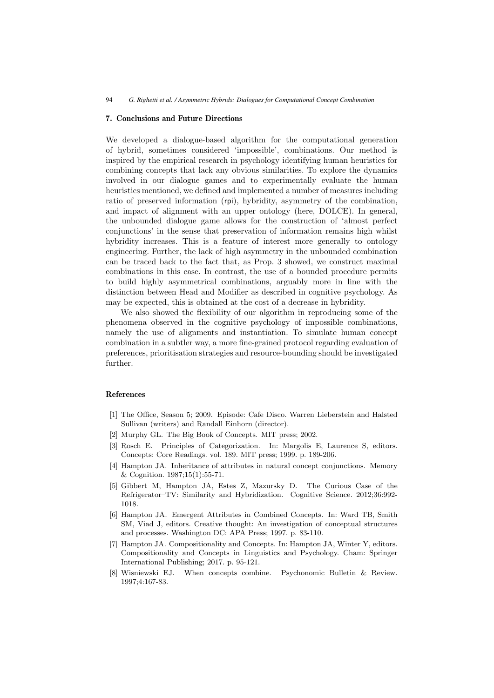#### **7. Conclusions and Future Directions**

We developed a dialogue-based algorithm for the computational generation of hybrid, sometimes considered 'impossible', combinations. Our method is inspired by the empirical research in psychology identifying human heuristics for combining concepts that lack any obvious similarities. To explore the dynamics involved in our dialogue games and to experimentally evaluate the human heuristics mentioned, we defined and implemented a number of measures including ratio of preserved information (rpi), hybridity, asymmetry of the combination, and impact of alignment with an upper ontology (here, DOLCE). In general, the unbounded dialogue game allows for the construction of 'almost perfect conjunctions' in the sense that preservation of information remains high whilst hybridity increases. This is a feature of interest more generally to ontology engineering. Further, the lack of high asymmetry in the unbounded combination can be traced back to the fact that, as Prop. 3 showed, we construct maximal combinations in this case. In contrast, the use of a bounded procedure permits to build highly asymmetrical combinations, arguably more in line with the distinction between Head and Modifier as described in cognitive psychology. As may be expected, this is obtained at the cost of a decrease in hybridity.

We also showed the flexibility of our algorithm in reproducing some of the phenomena observed in the cognitive psychology of impossible combinations, namely the use of alignments and instantiation. To simulate human concept combination in a subtler way, a more fine-grained protocol regarding evaluation of preferences, prioritisation strategies and resource-bounding should be investigated further.

#### **References**

- [1] The Office, Season 5; 2009. Episode: Cafe Disco. Warren Lieberstein and Halsted Sullivan (writers) and Randall Einhorn (director).
- [2] Murphy GL. The Big Book of Concepts. MIT press; 2002.
- [3] Rosch E. Principles of Categorization. In: Margolis E, Laurence S, editors. Concepts: Core Readings. vol. 189. MIT press; 1999. p. 189-206.
- [4] Hampton JA. Inheritance of attributes in natural concept conjunctions. Memory & Cognition. 1987;15(1):55-71.
- [5] Gibbert M, Hampton JA, Estes Z, Mazursky D. The Curious Case of the Refrigerator–TV: Similarity and Hybridization. Cognitive Science. 2012;36:992- 1018.
- [6] Hampton JA. Emergent Attributes in Combined Concepts. In: Ward TB, Smith SM, Viad J, editors. Creative thought: An investigation of conceptual structures and processes. Washington DC: APA Press; 1997. p. 83-110.
- [7] Hampton JA. Compositionality and Concepts. In: Hampton JA, Winter Y, editors. Compositionality and Concepts in Linguistics and Psychology. Cham: Springer International Publishing; 2017. p. 95-121.
- [8] Wisniewski EJ. When concepts combine. Psychonomic Bulletin & Review. 1997;4:167-83.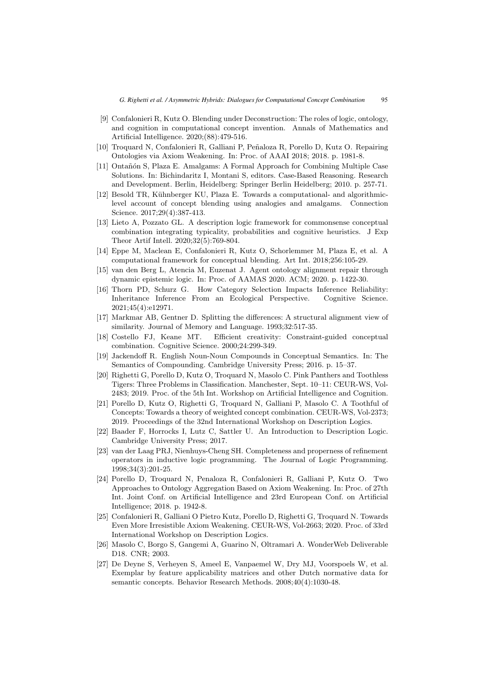- [9] Confalonieri R, Kutz O. Blending under Deconstruction: The roles of logic, ontology, and cognition in computational concept invention. Annals of Mathematics and Artificial Intelligence. 2020;(88):479-516.
- [10] Troquard N, Confalonieri R, Galliani P, Peñaloza R, Porello D, Kutz O. Repairing Ontologies via Axiom Weakening. In: Proc. of AAAI 2018; 2018. p. 1981-8.
- [11] Ontañón S, Plaza E. Amalgams: A Formal Approach for Combining Multiple Case Solutions. In: Bichindaritz I, Montani S, editors. Case-Based Reasoning. Research and Development. Berlin, Heidelberg: Springer Berlin Heidelberg; 2010. p. 257-71.
- [12] Besold TR, Kühnberger KU, Plaza E. Towards a computational- and algorithmiclevel account of concept blending using analogies and amalgams. Connection Science. 2017;29(4):387-413.
- [13] Lieto A, Pozzato GL. A description logic framework for commonsense conceptual combination integrating typicality, probabilities and cognitive heuristics. J Exp Theor Artif Intell. 2020;32(5):769-804.
- [14] Eppe M, Maclean E, Confalonieri R, Kutz O, Schorlemmer M, Plaza E, et al. A computational framework for conceptual blending. Art Int. 2018;256:105-29.
- [15] van den Berg L, Atencia M, Euzenat J. Agent ontology alignment repair through dynamic epistemic logic. In: Proc. of AAMAS 2020. ACM; 2020. p. 1422-30.
- [16] Thorn PD, Schurz G. How Category Selection Impacts Inference Reliability: Inheritance Inference From an Ecological Perspective. Cognitive Science. 2021;45(4):e12971.
- [17] Markmar AB, Gentner D. Splitting the differences: A structural alignment view of similarity. Journal of Memory and Language. 1993;32:517-35.
- [18] Costello FJ, Keane MT. Efficient creativity: Constraint-guided conceptual combination. Cognitive Science. 2000;24:299-349.
- [19] Jackendoff R. English Noun-Noun Compounds in Conceptual Semantics. In: The Semantics of Compounding. Cambridge University Press; 2016. p. 15–37.
- [20] Righetti G, Porello D, Kutz O, Troquard N, Masolo C. Pink Panthers and Toothless Tigers: Three Problems in Classification. Manchester, Sept. 10–11: CEUR-WS, Vol-2483; 2019. Proc. of the 5th Int. Workshop on Artificial Intelligence and Cognition.
- [21] Porello D, Kutz O, Righetti G, Troquard N, Galliani P, Masolo C. A Toothful of Concepts: Towards a theory of weighted concept combination. CEUR-WS, Vol-2373; 2019. Proceedings of the 32nd International Workshop on Description Logics.
- [22] Baader F, Horrocks I, Lutz C, Sattler U. An Introduction to Description Logic. Cambridge University Press; 2017.
- [23] van der Laag PRJ, Nienhuys-Cheng SH. Completeness and properness of refinement operators in inductive logic programming. The Journal of Logic Programming. 1998;34(3):201-25.
- [24] Porello D, Troquard N, Penaloza R, Confalonieri R, Galliani P, Kutz O. Two Approaches to Ontology Aggregation Based on Axiom Weakening. In: Proc. of 27th Int. Joint Conf. on Artificial Intelligence and 23rd European Conf. on Artificial Intelligence; 2018. p. 1942-8.
- [25] Confalonieri R, Galliani O Pietro Kutz, Porello D, Righetti G, Troquard N. Towards Even More Irresistible Axiom Weakening. CEUR-WS, Vol-2663; 2020. Proc. of 33rd International Workshop on Description Logics.
- [26] Masolo C, Borgo S, Gangemi A, Guarino N, Oltramari A. WonderWeb Deliverable D18. CNR; 2003.
- [27] De Deyne S, Verheyen S, Ameel E, Vanpaemel W, Dry MJ, Voorspoels W, et al. Exemplar by feature applicability matrices and other Dutch normative data for semantic concepts. Behavior Research Methods. 2008;40(4):1030-48.